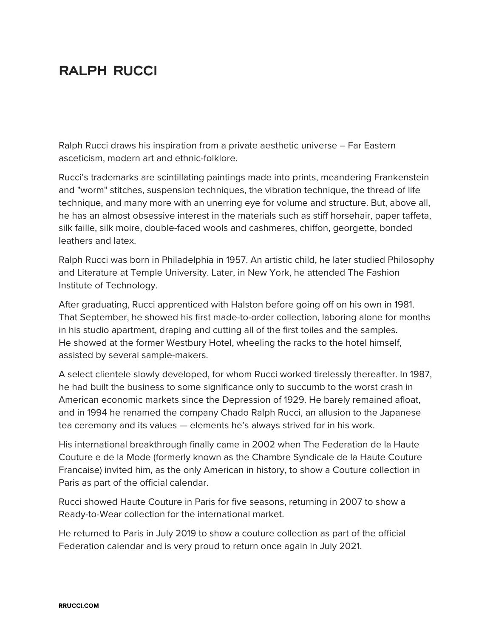## **RALPH RUCCI**

Ralph Rucci draws his inspiration from a private aesthetic universe – Far Eastern asceticism, modern art and ethnic-folklore.

Rucci's trademarks are scintillating paintings made into prints, meandering Frankenstein and "worm" stitches, suspension techniques, the vibration technique, the thread of life technique, and many more with an unerring eye for volume and structure. But, above all, he has an almost obsessive interest in the materials such as stiff horsehair, paper taffeta, silk faille, silk moire, double-faced wools and cashmeres, chiffon, georgette, bonded leathers and latex.

Ralph Rucci was born in Philadelphia in 1957. An artistic child, he later studied Philosophy and Literature at Temple University. Later, in New York, he attended The Fashion Institute of Technology.

After graduating, Rucci apprenticed with Halston before going off on his own in 1981. That September, he showed his first made-to-order collection, laboring alone for months in his studio apartment, draping and cutting all of the first toiles and the samples. He showed at the former Westbury Hotel, wheeling the racks to the hotel himself, assisted by several sample-makers.

A select clientele slowly developed, for whom Rucci worked tirelessly thereafter. In 1987, he had built the business to some significance only to succumb to the worst crash in American economic markets since the Depression of 1929. He barely remained afloat, and in 1994 he renamed the company Chado Ralph Rucci, an allusion to the Japanese tea ceremony and its values — elements he's always strived for in his work.

His international breakthrough finally came in 2002 when The Federation de la Haute Couture e de la Mode (formerly known as the Chambre Syndicale de la Haute Couture Francaise) invited him, as the only American in history, to show a Couture collection in Paris as part of the official calendar.

Rucci showed Haute Couture in Paris for five seasons, returning in 2007 to show a Ready-to-Wear collection for the international market.

He returned to Paris in July 2019 to show a couture collection as part of the official Federation calendar and is very proud to return once again in July 2021.